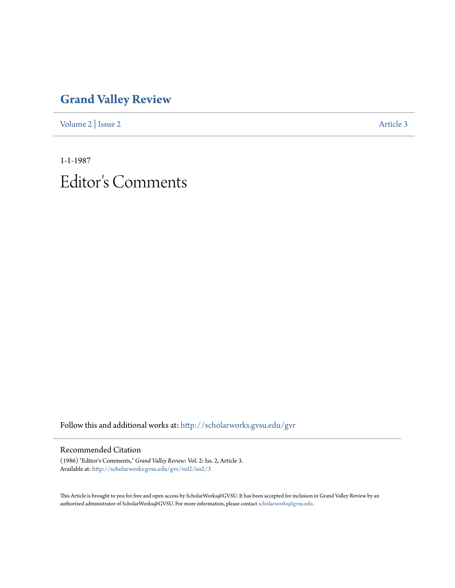## **[Grand Valley Review](http://scholarworks.gvsu.edu/gvr?utm_source=scholarworks.gvsu.edu%2Fgvr%2Fvol2%2Fiss2%2F3&utm_medium=PDF&utm_campaign=PDFCoverPages)**

[Volume 2](http://scholarworks.gvsu.edu/gvr/vol2?utm_source=scholarworks.gvsu.edu%2Fgvr%2Fvol2%2Fiss2%2F3&utm_medium=PDF&utm_campaign=PDFCoverPages) | [Issue 2](http://scholarworks.gvsu.edu/gvr/vol2/iss2?utm_source=scholarworks.gvsu.edu%2Fgvr%2Fvol2%2Fiss2%2F3&utm_medium=PDF&utm_campaign=PDFCoverPages) [Article 3](http://scholarworks.gvsu.edu/gvr/vol2/iss2/3?utm_source=scholarworks.gvsu.edu%2Fgvr%2Fvol2%2Fiss2%2F3&utm_medium=PDF&utm_campaign=PDFCoverPages)

1-1-1987 Editor 's Comments

Follow this and additional works at: [http://scholarworks.gvsu.edu/gvr](http://scholarworks.gvsu.edu/gvr?utm_source=scholarworks.gvsu.edu%2Fgvr%2Fvol2%2Fiss2%2F3&utm_medium=PDF&utm_campaign=PDFCoverPages)

## Recommended Citation

(1986) "Editor's Comments," *Grand Valley Review*: Vol. 2: Iss. 2, Article 3. Available at: [http://scholarworks.gvsu.edu/gvr/vol2/iss2/3](http://scholarworks.gvsu.edu/gvr/vol2/iss2/3?utm_source=scholarworks.gvsu.edu%2Fgvr%2Fvol2%2Fiss2%2F3&utm_medium=PDF&utm_campaign=PDFCoverPages)

This Article is brought to you for free and open access by ScholarWorks@GVSU. It has been accepted for inclusion in Grand Valley Review by an authorized administrator of ScholarWorks@GVSU. For more information, please contact [scholarworks@gvsu.edu.](mailto:scholarworks@gvsu.edu)